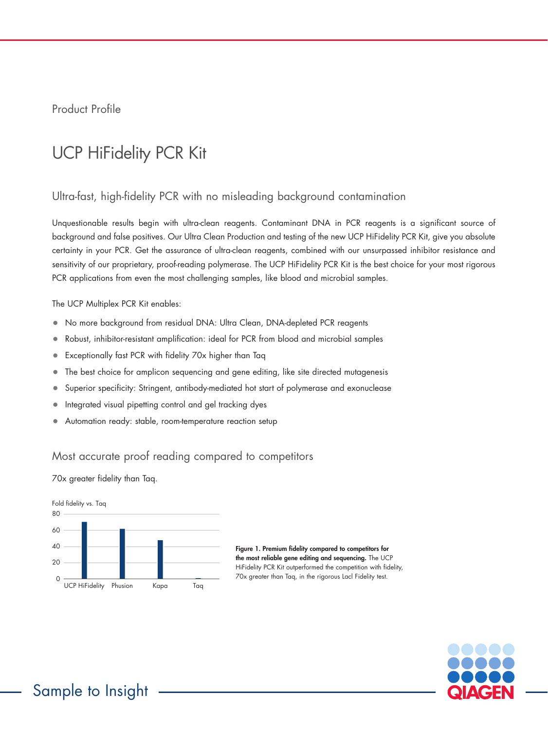Product Profile

# UCP HiFidelity PCR Kit

## Ultra-fast, high-fidelity PCR with no misleading background contamination

Unquestionable results begin with ultra-clean reagents. Contaminant DNA in PCR reagents is a significant source of background and false positives. Our Ultra Clean Production and testing of the new UCP HiFidelity PCR Kit, give you absolute certainty in your PCR. Get the assurance of ultra-clean reagents, combined with our unsurpassed inhibitor resistance and sensitivity of our proprietary, proof-reading polymerase. The UCP HiFidelity PCR Kit is the best choice for your most rigorous PCR applications from even the most challenging samples, like blood and microbial samples.

The UCP Multiplex PCR Kit enables:

- No more background from residual DNA: Ultra Clean, DNA-depleted PCR reagents
- Robust, inhibitor-resistant amplification: ideal for PCR from blood and microbial samples
- Exceptionally fast PCR with fidelity 70x higher than Taq
- The best choice for amplicon sequencing and gene editing, like site directed mutagenesis
- Superior specificity: Stringent, antibody-mediated hot start of polymerase and exonuclease
- Integrated visual pipetting control and gel tracking dyes
- Automation ready: stable, room-temperature reaction setup

#### Most accurate proof reading compared to competitors

70x greater fidelity than Taq.



Figure 1. Premium fidelity compared to competitors for the most reliable gene editing and sequencing. The UCP HiFidelity PCR Kit outperformed the competition with fidelity, 70x greater than Taq, in the rigorous Lacl Fidelity test.

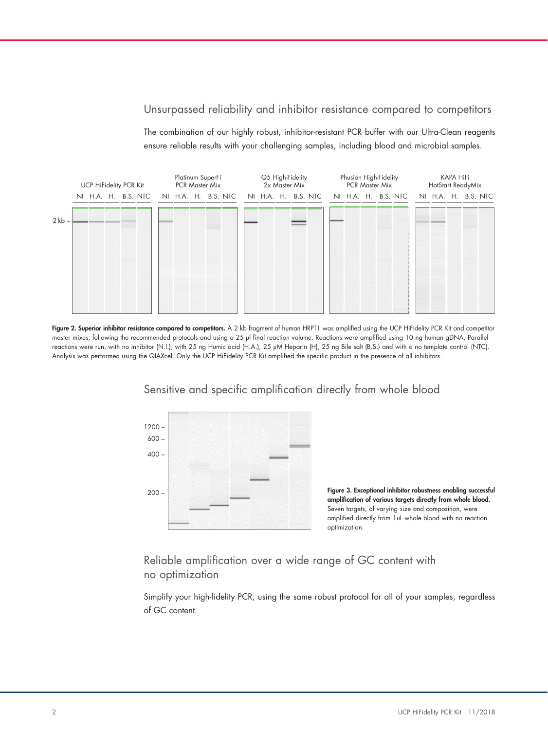#### Unsurpassed reliability and inhibitor resistance compared to competitors

The combination of our highly robust, inhibitor-resistant PCR buffer with our Ultra-Clean reagents ensure reliable results with your challenging samples, including blood and microbial samples.



Figure 2. Superior inhibitor resistance compared to competitors. A 2 kb fragment of human HRPT1 was amplified using the UCP HiFidelity PCR Kit and competitor master mixes, following the recommended protocols and using a 25 µl final reaction volume. Reactions were amplified using 10 ng human gDNA. Parallel reactions were run, with no inhibitor (N.I.), with 25 ng Humic acid (H.A.), 25 µM Heparin (H), 25 ng Bile salt (B.S.) and with a no template control (NTC). Analysis was performed using the QIAXcel. Only the UCP HiFidelity PCR Kit amplified the specific product in the presence of all inhibitors.



Sensitive and specific amplification directly from whole blood

Figure 3. Exceptional inhibitor robustness enabling successful amplification of various targets directly from whole blood. Seven targets, of varying size and composition, were amplified directly from 1uL whole blood with no reaction optimization.

Reliable amplification over a wide range of GC content with no optimization

Simplify your high-fidelity PCR, using the same robust protocol for all of your samples, regardless of GC content.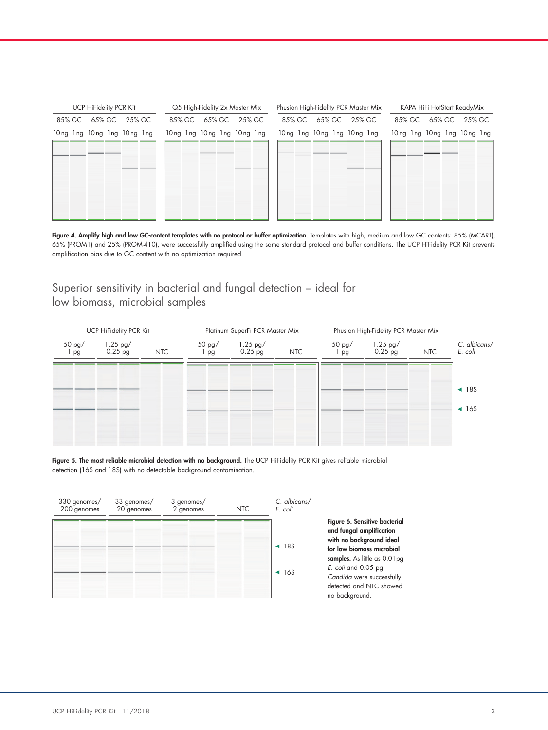| UCP HiFidelity PCR Kit |  |                            |  |        |  | Q5 High-Fidelity 2x Master Mix |  |                            |  |        |  | Phusion High-Fidelity PCR Master Mix |  |                            |  |        |  | KAPA HiFi HotStart ReadyMix |  |                            |  |        |  |
|------------------------|--|----------------------------|--|--------|--|--------------------------------|--|----------------------------|--|--------|--|--------------------------------------|--|----------------------------|--|--------|--|-----------------------------|--|----------------------------|--|--------|--|
| 85% GC                 |  | 65% GC                     |  | 25% GC |  | 85% GC                         |  | 65% GC                     |  | 25% GC |  | 85% GC                               |  | 65% GC                     |  | 25% GC |  | 85% GC                      |  | 65% GC                     |  | 25% GC |  |
|                        |  | 10ng 1ng 10ng 1ng 10ng 1ng |  |        |  |                                |  | 10ng 1ng 10ng 1ng 10ng 1ng |  |        |  |                                      |  | 10ng 1ng 10ng 1ng 10ng 1ng |  |        |  |                             |  | 10ng 1ng 10ng 1ng 10ng 1ng |  |        |  |
|                        |  |                            |  |        |  |                                |  |                            |  |        |  |                                      |  |                            |  |        |  |                             |  |                            |  |        |  |
|                        |  |                            |  |        |  |                                |  |                            |  |        |  |                                      |  |                            |  |        |  |                             |  |                            |  |        |  |
|                        |  |                            |  |        |  |                                |  |                            |  |        |  |                                      |  |                            |  |        |  |                             |  |                            |  |        |  |
|                        |  |                            |  |        |  |                                |  |                            |  |        |  |                                      |  |                            |  |        |  |                             |  |                            |  |        |  |
|                        |  |                            |  |        |  |                                |  |                            |  |        |  |                                      |  |                            |  |        |  |                             |  |                            |  |        |  |
|                        |  |                            |  |        |  |                                |  |                            |  |        |  |                                      |  |                            |  |        |  |                             |  |                            |  |        |  |

Figure 4. Amplify high and low GC-content templates with no protocol or buffer optimization. Templates with high, medium and low GC contents: 85% (MCART), 65% (PROM1) and 25% (PROM-410), were successfully amplified using the same standard protocol and buffer conditions. The UCP HiFidelity PCR Kit prevents amplification bias due to GC content with no optimization required.

### Superior sensitivity in bacterial and fungal detection – ideal for low biomass, microbial samples



Figure 5. The most reliable microbial detection with no background. The UCP HiFidelity PCR Kit gives reliable microbial detection (16S and 18S) with no detectable background contamination.